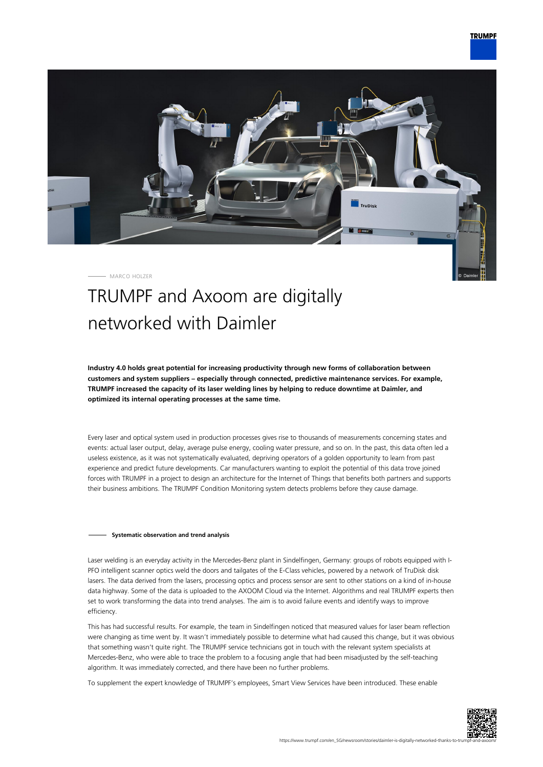

MARCO HOLZER

## TRUMPF and Axoom are digitally networked with Daimler

**Industry 4.0 holds great potential for increasing productivity through new forms of collaboration between customers and system suppliers – especially through connected, predictive maintenance services. For example, TRUMPF increased the capacity of its laser welding lines by helping to reduce downtime at Daimler, and optimized its internal operating processes at the same time.**

Every laser and optical system used in production processes gives rise to thousands of measurements concerning states and events: actual laser output, delay, average pulse energy, cooling water pressure, and so on. In the past, this data often led a useless existence, as it was not systematically evaluated, depriving operators of a golden opportunity to learn from past experience and predict future developments. Car manufacturers wanting to exploit the potential of this data trove joined forces with TRUMPF in a project to design an architecture for the Internet of Things that benefits both partners and supports their business ambitions. The TRUMPF Condition Monitoring system detects problems before they cause damage.

## **Systematic observation and trend analysis**

Laser welding is an everyday activity in the Mercedes-Benz plant in Sindelfingen, Germany: groups of robots equipped with I-PFO intelligent scanner optics weld the doors and tailgates of the E-Class vehicles, powered by a network of TruDisk disk lasers. The data derived from the lasers, processing optics and process sensor are sent to other stations on a kind of in-house data highway. Some of the data is uploaded to the AXOOM Cloud via the Internet. Algorithms and real TRUMPF experts then set to work transforming the data into trend analyses. The aim is to avoid failure events and identify ways to improve efficiency.

This has had successful results. For example, the team in Sindelfingen noticed that measured values for laser beam reflection were changing as time went by. It wasn't immediately possible to determine what had caused this change, but it was obvious that something wasn't quite right. The TRUMPF service technicians got in touch with the relevant system specialists at Mercedes-Benz, who were able to trace the problem to a focusing angle that had been misadjusted by the self-teaching algorithm. It was immediately corrected, and there have been no further problems.

To supplement the expert knowledge of TRUMPF's employees, Smart View Services have been introduced. These enable